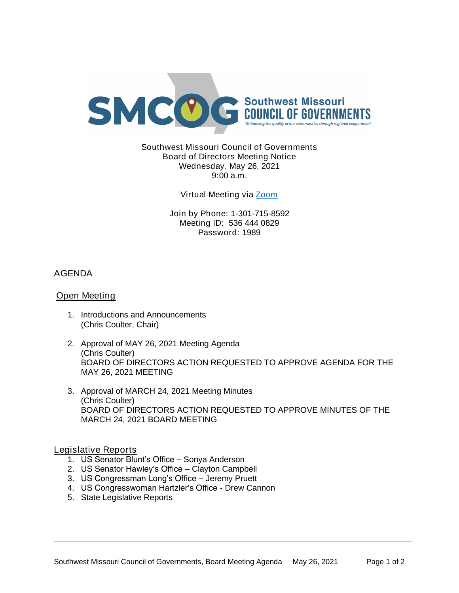

Southwest Missouri Council of Governments Board of Directors Meeting Notice Wednesday, May 26, 2021 9:00 a.m.

Virtual Meeting via [Zoom](https://missouristate.zoom.us/j/5364440829?pwd=MlUzbmJKSXllVENpRndadjlEMThmZz09)

Join by Phone: 1-301-715-8592 Meeting ID: 536 444 0829 Password: 1989

# AGENDA

## Open Meeting

- 1. Introductions and Announcements (Chris Coulter, Chair)
- 2. Approval of MAY 26, 2021 Meeting Agenda (Chris Coulter) BOARD OF DIRECTORS ACTION REQUESTED TO APPROVE AGENDA FOR THE MAY 26, 2021 MEETING
- 3. Approval of MARCH 24, 2021 Meeting Minutes (Chris Coulter) BOARD OF DIRECTORS ACTION REQUESTED TO APPROVE MINUTES OF THE MARCH 24, 2021 BOARD MEETING

### Legislative Reports

- 1. US Senator Blunt's Office Sonya Anderson
- 2. US Senator Hawley's Office Clayton Campbell
- 3. US Congressman Long's Office Jeremy Pruett
- 4. US Congresswoman Hartzler's Office Drew Cannon
- 5. State Legislative Reports